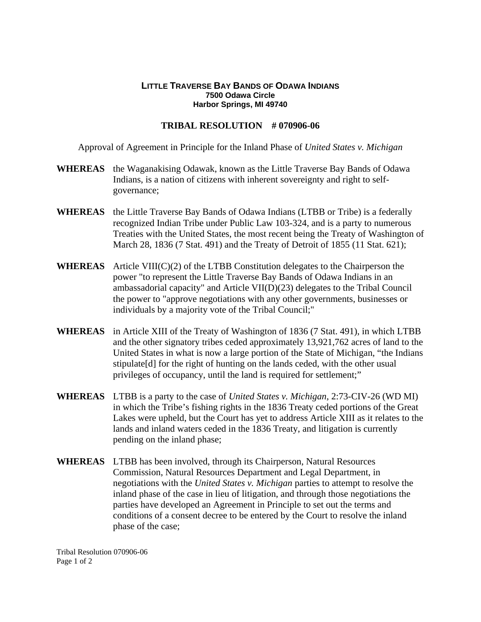## **LITTLE TRAVERSE BAY BANDS OF ODAWA INDIANS 7500 Odawa Circle Harbor Springs, MI 49740**

## **TRIBAL RESOLUTION # 070906-06**

Approval of Agreement in Principle for the Inland Phase of *United States v. Michigan*

- **WHEREAS** the Waganakising Odawak, known as the Little Traverse Bay Bands of Odawa Indians, is a nation of citizens with inherent sovereignty and right to selfgovernance;
- **WHEREAS** the Little Traverse Bay Bands of Odawa Indians (LTBB or Tribe) is a federally recognized Indian Tribe under Public Law 103-324, and is a party to numerous Treaties with the United States, the most recent being the Treaty of Washington of March 28, 1836 (7 Stat. 491) and the Treaty of Detroit of 1855 (11 Stat. 621);
- **WHEREAS** Article VIII(C)(2) of the LTBB Constitution delegates to the Chairperson the power "to represent the Little Traverse Bay Bands of Odawa Indians in an ambassadorial capacity" and Article VII(D)(23) delegates to the Tribal Council the power to "approve negotiations with any other governments, businesses or individuals by a majority vote of the Tribal Council;"
- **WHEREAS** in Article XIII of the Treaty of Washington of 1836 (7 Stat. 491), in which LTBB and the other signatory tribes ceded approximately 13,921,762 acres of land to the United States in what is now a large portion of the State of Michigan, "the Indians stipulate[d] for the right of hunting on the lands ceded, with the other usual privileges of occupancy, until the land is required for settlement;"
- **WHEREAS** LTBB is a party to the case of *United States v. Michigan*, 2:73-CIV-26 (WD MI) in which the Tribe's fishing rights in the 1836 Treaty ceded portions of the Great Lakes were upheld, but the Court has yet to address Article XIII as it relates to the lands and inland waters ceded in the 1836 Treaty, and litigation is currently pending on the inland phase;
- **WHEREAS** LTBB has been involved, through its Chairperson, Natural Resources Commission, Natural Resources Department and Legal Department, in negotiations with the *United States v. Michigan* parties to attempt to resolve the inland phase of the case in lieu of litigation, and through those negotiations the parties have developed an Agreement in Principle to set out the terms and conditions of a consent decree to be entered by the Court to resolve the inland phase of the case;